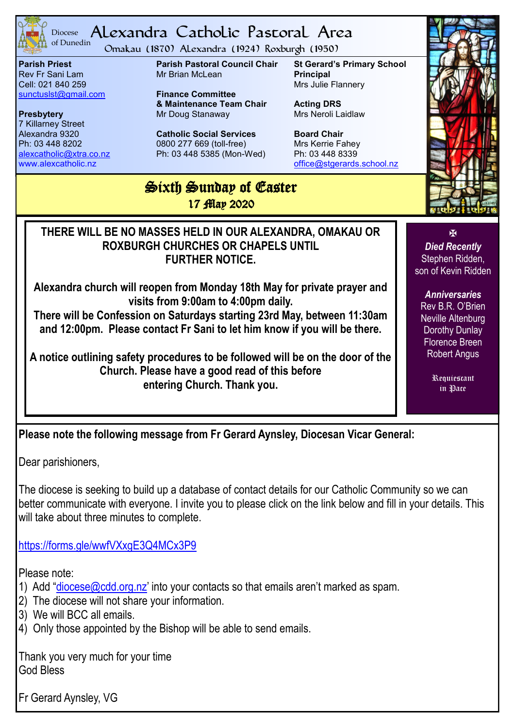

#### <sup>Diocese</sup> Alexandra Catholic Pastoral Area of Dunedin

Omakau (1870) Alexandra (1924) Roxburgh (1950)

**Parish Priest** Rev Fr Sani Lam Cell: 021 840 259 [sunctuslst@gmail.com](mailto:mailto:sunctuslst@gmail.com)

**Presbytery** 7 Killarney Street Alexandra 9320 Ph: 03 448 8202 [alexcatholic@xtra.co.nz](mailto:mailto:alexcatholic@xtra.co.nz) www.alexcatholic.nz

**Parish Pastoral Council Chair** Mr Brian McLean

**Finance Committee & Maintenance Team Chair** Mr Doug Stanaway

**Catholic Social Services**  0800 277 669 (toll-free) Ph: 03 448 5385 (Mon-Wed) **St Gerard's Primary School Principal** Mrs Julie Flannery

**Acting DRS** Mrs Neroli Laidlaw

**Board Chair** Mrs Kerrie Fahey Ph: 03 448 8339 [office@stgerards.school.nz](mailto:mailto:office@stgerards.school.nz)

## Sixth Sunday of Easter 17 *Map* 2020

**THERE WILL BE NO MASSES HELD IN OUR ALEXANDRA, OMAKAU OR ROXBURGH CHURCHES OR CHAPELS UNTIL FURTHER NOTICE.**

**Alexandra church will reopen from Monday 18th May for private prayer and visits from 9:00am to 4:00pm daily.**

**There will be Confession on Saturdays starting 23rd May, between 11:30am and 12:00pm. Please contact Fr Sani to let him know if you will be there.**

**A notice outlining safety procedures to be followed will be on the door of the Church. Please have a good read of this before entering Church. Thank you.**

**Please note the following message from Fr Gerard Aynsley, Diocesan Vicar General:**

Dear parishioners,

The diocese is seeking to build up a database of contact details for our Catholic Community so we can better communicate with everyone. I invite you to please click on the link below and fill in your details. This will take about three minutes to complete.

<https://forms.gle/wwfVXxgE3Q4MCx3P9>

Please note:

- 1) Add "[diocese@cdd.org.nz](mailto:diocese@cdd.org.nz)' into your contacts so that emails aren't marked as spam.
- 2) The diocese will not share your information.
- 3) We will BCC all emails.
- 4) Only those appointed by the Bishop will be able to send emails.

Thank you very much for your time God Bless

Fr Gerard Aynsley, VG



K *Died Recently* Stephen Ridden, son of Kevin Ridden

*Anniversaries* Rev B.R. O'Brien Neville Altenburg Dorothy Dunlay Florence Breen Robert Angus

> Requiescant in Pace